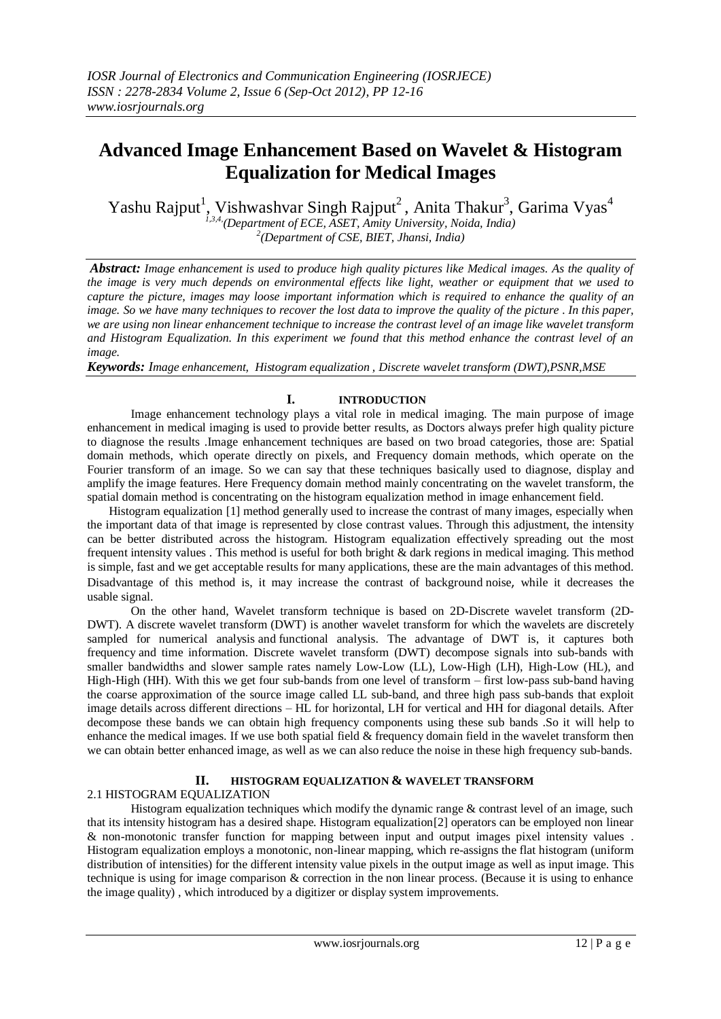# **Advanced Image Enhancement Based on Wavelet & Histogram Equalization for Medical Images**

Yashu Rajput<sup>1</sup>, Vishwashvar Singh Rajput<sup>2</sup>, Anita Thakur<sup>3</sup>, Garima Vyas<sup>4</sup>

*1,3,4, (Department of ECE, ASET, Amity University, Noida, India) 2 (Department of CSE, BIET, Jhansi, India)*

*Abstract: Image enhancement is used to produce high quality pictures like Medical images. As the quality of the image is very much depends on environmental effects like light, weather or equipment that we used to capture the picture, images may loose important information which is required to enhance the quality of an image. So we have many techniques to recover the lost data to improve the quality of the picture . In this paper, we are using non linear enhancement technique to increase the contrast level of an image like wavelet transform and Histogram Equalization. In this experiment we found that this method enhance the contrast level of an image.*

*Keywords: Image enhancement, Histogram equalization , Discrete wavelet transform (DWT),PSNR,MSE*

## **I. INTRODUCTION**

Image enhancement technology plays a vital role in medical imaging. The main purpose of image enhancement in medical imaging is used to provide better results, as Doctors always prefer high quality picture to diagnose the results .Image enhancement techniques are based on two broad categories, those are: Spatial domain methods, which operate directly on pixels, and Frequency domain methods, which operate on the Fourier transform of an image. So we can say that these techniques basically used to diagnose, display and amplify the image features. Here Frequency domain method mainly concentrating on the wavelet transform, the spatial domain method is concentrating on the histogram equalization method in image enhancement field.

Histogram equalization [1] method generally used to increase the contrast of many images, especially when the important data of that image is represented by close contrast values. Through this adjustment, the intensity can be better distributed across the histogram. Histogram equalization effectively spreading out the most frequent intensity values . This method is useful for both bright & dark regions in medical imaging. This method is simple, fast and we get acceptable results for many applications, these are the main advantages of this method. Disadvantage of this method is, it may increase the contrast of background [noise](http://en.wikipedia.org/wiki/Signal_noise), while it decreases the usable [signal.](http://en.wikipedia.org/wiki/Signal_(information_theory))

On the other hand, Wavelet transform technique is based on 2D-Discrete wavelet transform (2D-DWT). A discrete wavelet transform (DWT) is another [wavelet transform](http://en.wikipedia.org/wiki/Wavelet_transform) for which the [wavelets](http://en.wikipedia.org/wiki/Wavelet) are discretely sampled for [numerical analysis](http://en.wikipedia.org/wiki/Numerical_analysis) and [functional analysis.](http://en.wikipedia.org/wiki/Functional_analysis) The advantage of DWT is, it captures both frequency and time information. Discrete wavelet transform (DWT) decompose signals into sub-bands with smaller bandwidths and slower sample rates namely Low-Low (LL), Low-High (LH), High-Low (HL), and High-High (HH). With this we get four sub-bands from one level of transform – first low-pass sub-band having the coarse approximation of the source image called LL sub-band, and three high pass sub-bands that exploit image details across different directions – HL for horizontal, LH for vertical and HH for diagonal details. After decompose these bands we can obtain high frequency components using these sub bands .So it will help to enhance the medical images. If we use both spatial field  $\&$  frequency domain field in the wavelet transform then we can obtain better enhanced image, as well as we can also reduce the noise in these high frequency sub-bands.

## **II. HISTOGRAM EQUALIZATION & WAVELET TRANSFORM**

#### 2.1 HISTOGRAM EQUALIZATION

Histogram equalization techniques which modify the dynamic range  $\&$  contrast level of an image, such that its intensity histogram has a desired shape. Histogram equalization[2] operators can be employed non linear & non-monotonic transfer function for mapping between input and output images pixel intensity values . Histogram equalization employs a monotonic, non-linear mapping, which re-assigns the flat histogram (uniform distribution of intensities) for the different intensity value pixels in the output image as well as input image. This technique is using for image comparison & correction in the non linear process. (Because it is using to enhance the image quality) , which introduced by a digitizer or display system improvements.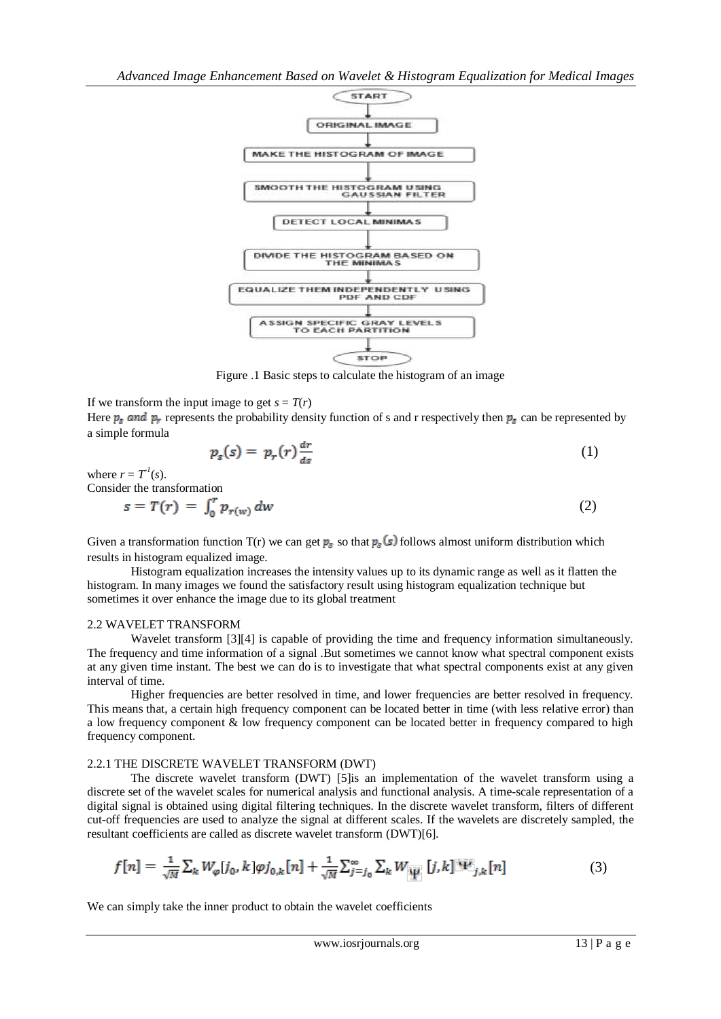

Figure .1 Basic steps to calculate the histogram of an image

If we transform the input image to get  $s = T(r)$ 

Here  $p_s$  and  $p_r$  represents the probability density function of s and r respectively then  $p_s$  can be represented by a simple formula

$$
p_s(s) = p_r(r) \frac{dr}{ds} \tag{1}
$$

where  $r = T^{\prime}(s)$ . Consider the transformation

$$
s = T(r) = \int_0^r p_{r(w)} dw \tag{2}
$$

Given a transformation function  $T(r)$  we can get  $p_s$  so that  $p_s(s)$  follows almost uniform distribution which results in histogram equalized image.

Histogram equalization increases the intensity values up to its dynamic range as well as it flatten the histogram. In many images we found the satisfactory result using histogram equalization technique but sometimes it over enhance the image due to its global treatment

#### 2.2 WAVELET TRANSFORM

Wavelet transform [3][4] is capable of providing the time and frequency information simultaneously. The frequency and time information of a signal .But sometimes we cannot know what spectral component exists at any given time instant. The best we can do is to investigate that what spectral components exist at any given interval of time.

Higher frequencies are better resolved in time, and lower frequencies are better resolved in frequency. This means that, a certain high frequency component can be located better in time (with less relative error) than a low frequency component & low frequency component can be located better in frequency compared to high frequency component.

#### 2.2.1 THE DISCRETE WAVELET TRANSFORM (DWT)

The discrete wavelet transform (DWT) [5]is an implementation of the wavelet transform using a discrete set of the wavelet scales for [numerical analysis](http://en.wikipedia.org/wiki/Numerical_analysis) and [functional analysis.](http://en.wikipedia.org/wiki/Functional_analysis) A time-scale representation of a digital signal is obtained using digital filtering techniques. In the discrete wavelet transform, filters of different cut-off frequencies are used to analyze the signal at different scales. If the [wavelets](http://en.wikipedia.org/wiki/Wavelet) are discretely sampled, the resultant coefficients are called as discrete wavelet transform (DWT)[6].

$$
f[n] = \frac{1}{\sqrt{M}} \sum_{k} W_{\varphi}[j_0, k] \varphi j_{0,k}[n] + \frac{1}{\sqrt{M}} \sum_{j=j_0}^{\infty} \sum_{k} W_{\Psi}[j, k] \Psi_{j,k}[n]
$$
(3)

We can simply take the inner product to obtain the wavelet coefficients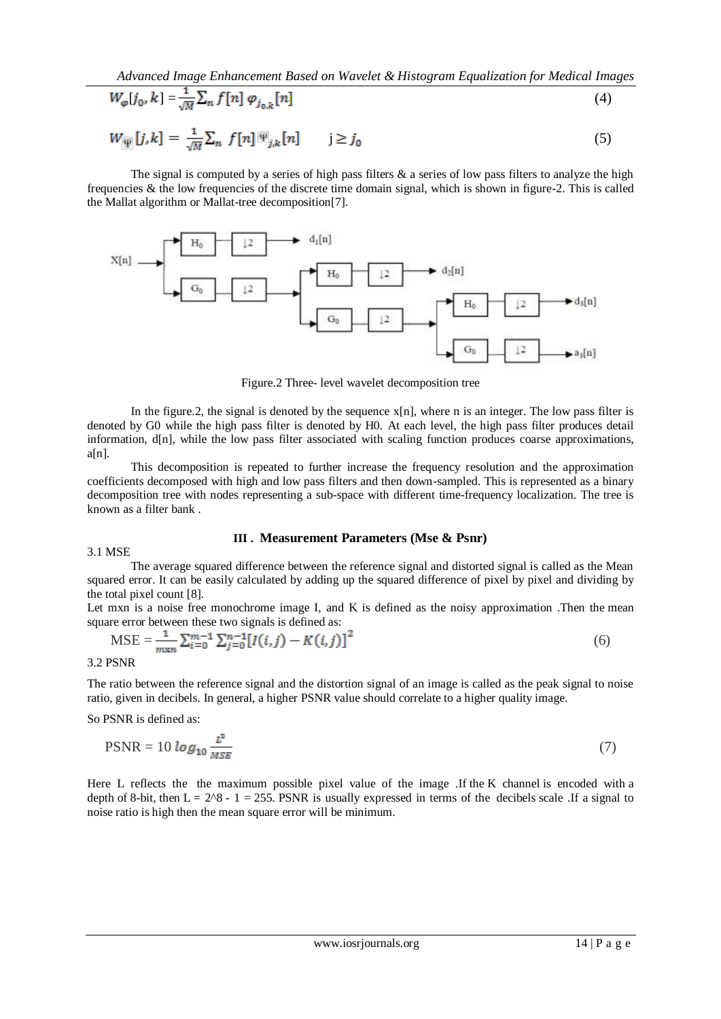*Advanced Image Enhancement Based on Wavelet & Histogram Equalization for Medical Images*

$$
W_{\varphi}[j_0, k] = \frac{1}{\sqrt{M}} \sum_{n} f[n] \varphi_{j_0, k}[n]
$$
\n
$$
\tag{4}
$$

$$
W_{\Psi}[j,k] = \frac{1}{\sqrt{M}} \sum_{n} f[n] \Psi_{j,k}[n] \qquad j \ge j_0 \tag{5}
$$

The signal is computed by a series of high pass filters  $\&$  a series of low pass filters to analyze the high frequencies & the low frequencies of the discrete time domain signal, which is shown in figure-2. This is called the Mallat algorithm or Mallat-tree decomposition[7].



Figure.2 Three- level wavelet decomposition tree

In the figure.2, the signal is denoted by the sequence  $x[n]$ , where n is an integer. The low pass filter is denoted by G0 while the high pass filter is denoted by H0. At each level, the high pass filter produces detail information, d[n], while the low pass filter associated with scaling function produces coarse approximations,  $a[n]$ .

This decomposition is repeated to further increase the frequency resolution and the approximation coefficients decomposed with high and low pass filters and then down-sampled. This is represented as a binary decomposition tree with nodes representing a sub-space with different time-frequency localization. The tree is known as a [filter bank](http://en.wikipedia.org/wiki/Filter_bank) .

### **III . Measurement Parameters (Mse & Psnr)**

#### 3.1 MSE

The average squared difference between the reference signal and distorted signal is called as the Mean squared error. It can be easily calculated by adding up the squared difference of pixel by pixel and dividing by the total pixel count [8].

Let mxn is a noise free monochrome image I, and K is defined as the noisy approximation. Then the mean square error between these two signals is defined as:

$$
\text{MSE} = \frac{1}{m \times n} \sum_{i=0}^{m-1} \sum_{j=0}^{n-1} \left[ I(i,j) - K(i,j) \right]^2 \tag{6}
$$

3.2 PSNR

The ratio between the reference signal and the distortion signal of an image is called as the peak signal to noise ratio, given in decibels. In general, a higher PSNR value should correlate to a higher quality image.

So PSNR is defined as:

$$
PSNR = 10 \log_{10} \frac{L^2}{MSE} \tag{7}
$$

Here L reflects the the maximum possible pixel value of the image .If the K channel is encoded with a depth of 8-bit, then  $L = 2^8 - 1 = 255$ . PSNR is usually expressed in terms of the decibels scale .If a signal to noise ratio is high then the mean square error will be minimum.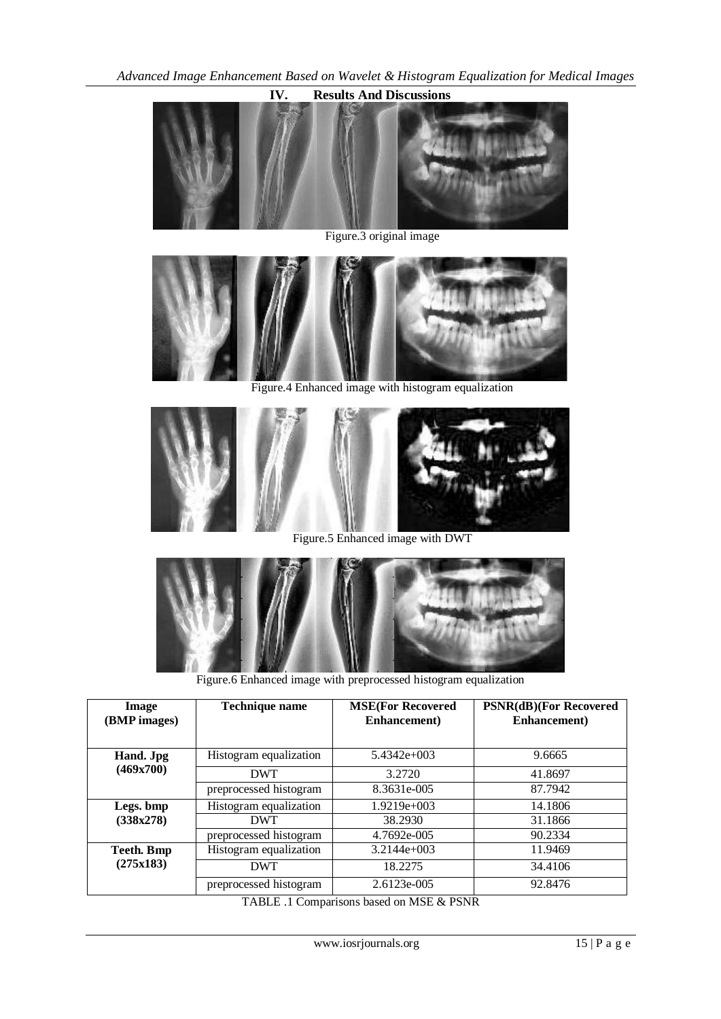

Figure.3 original image



Figure.4 Enhanced image with histogram equalization



Figure.5 Enhanced image with DWT



Figure.6 Enhanced image with preprocessed histogram equalization

| Image<br>(BMP images)   | <b>Technique name</b>  | <b>MSE(For Recovered</b><br>Enhancement) | <b>PSNR(dB)(For Recovered</b><br>Enhancement) |
|-------------------------|------------------------|------------------------------------------|-----------------------------------------------|
| Hand. Jpg<br>(469x700)  | Histogram equalization | $5.4342e+003$                            | 9.6665                                        |
|                         | <b>DWT</b>             | 3.2720                                   | 41.8697                                       |
|                         | preprocessed histogram | 8.3631e-005                              | 87.7942                                       |
| Legs. bmp<br>(338x278)  | Histogram equalization | $1.9219e+003$                            | 14.1806                                       |
|                         | <b>DWT</b>             | 38.2930                                  | 31.1866                                       |
|                         | preprocessed histogram | 4.7692e-005                              | 90.2334                                       |
| Teeth. Bmp<br>(275x183) | Histogram equalization | $3.2144e+003$                            | 11.9469                                       |
|                         | <b>DWT</b>             | 18.2275                                  | 34.4106                                       |
|                         | preprocessed histogram | 2.6123e-005                              | 92.8476                                       |

TABLE .1 Comparisons based on MSE & PSNR